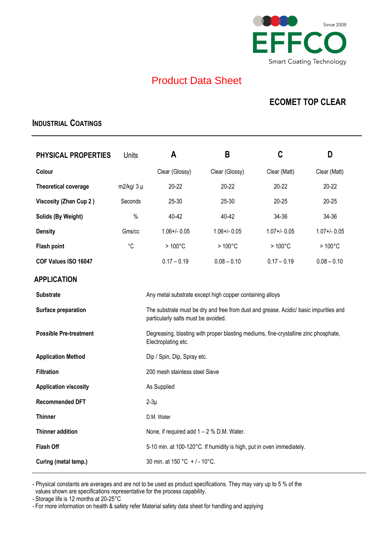

## Product Data Sheet

## **ECOMET TOP CLEAR**

### **INDUSTRIAL COATINGS**

| <b>PHYSICAL PROPERTIES</b>                                                   | <b>Units</b>  | A                                                                                                                            | B                 | C                | D                |  |
|------------------------------------------------------------------------------|---------------|------------------------------------------------------------------------------------------------------------------------------|-------------------|------------------|------------------|--|
| Colour                                                                       |               | Clear (Glossy)                                                                                                               | Clear (Glossy)    | Clear (Matt)     | Clear (Matt)     |  |
| <b>Theoretical coverage</b>                                                  | $m2/kg/3 \mu$ | $20 - 22$                                                                                                                    | $20 - 22$         | $20 - 22$        | $20 - 22$        |  |
| <b>Viscosity (Zhan Cup 2)</b>                                                | Seconds       | 25-30                                                                                                                        | 25-30             | $20 - 25$        | $20 - 25$        |  |
| Solids (By Weight)                                                           | $\%$          | 40-42                                                                                                                        | 40-42             | 34-36            | 34-36            |  |
| <b>Density</b>                                                               | Gms/cc        | $1.06 + / - 0.05$                                                                                                            | $1.06 + / - 0.05$ | $1.07 + 0.05$    | $1.07 + 0.05$    |  |
| <b>Flash point</b>                                                           | $^{\circ}C$   | $>100^{\circ}$ C                                                                                                             | $>100^{\circ}$ C  | $>100^{\circ}$ C | $>100^{\circ}$ C |  |
| COF Values ISO 16047                                                         |               | $0.17 - 0.19$                                                                                                                | $0.08 - 0.10$     | $0.17 - 0.19$    | $0.08 - 0.10$    |  |
| <b>APPLICATION</b>                                                           |               |                                                                                                                              |                   |                  |                  |  |
| Any metal substrate except high copper containing alloys<br><b>Substrate</b> |               |                                                                                                                              |                   |                  |                  |  |
| Surface preparation                                                          |               | The substrate must be dry and free from dust and grease. Acidic/ basic impurities and<br>particularly salts must be avoided. |                   |                  |                  |  |
| <b>Possible Pre-treatment</b>                                                |               | Degreasing, blasting with proper blasting mediums, fine-crystalline zinc phosphate,<br>Electroplating etc.                   |                   |                  |                  |  |
| <b>Application Method</b>                                                    |               | Dip / Spin, Dip, Spray etc.                                                                                                  |                   |                  |                  |  |
| <b>Filtration</b>                                                            |               | 200 mesh stainless steel Sieve                                                                                               |                   |                  |                  |  |
| <b>Application viscosity</b>                                                 | As Supplied   |                                                                                                                              |                   |                  |                  |  |
| <b>Recommended DFT</b>                                                       | $2-3\mu$      |                                                                                                                              |                   |                  |                  |  |
| <b>Thinner</b>                                                               |               | D.M. Water                                                                                                                   |                   |                  |                  |  |
| <b>Thinner addition</b>                                                      |               | None, if required add $1 - 2$ % D.M. Water.                                                                                  |                   |                  |                  |  |
| <b>Flash Off</b>                                                             |               | 5-10 min. at 100-120°C. If humidity is high, put in oven immediately.                                                        |                   |                  |                  |  |
| Curing (metal temp.)                                                         |               | 30 min. at 150 °C + / - 10°C.                                                                                                |                   |                  |                  |  |

- Physical constants are averages and are not to be used as product specifications. They may vary up to 5 % of the values shown are specifications representative for the process capability.

- Storage life is 12 months at 20-25°C

- For more information on health & safety refer Material safety data sheet for handling and applying